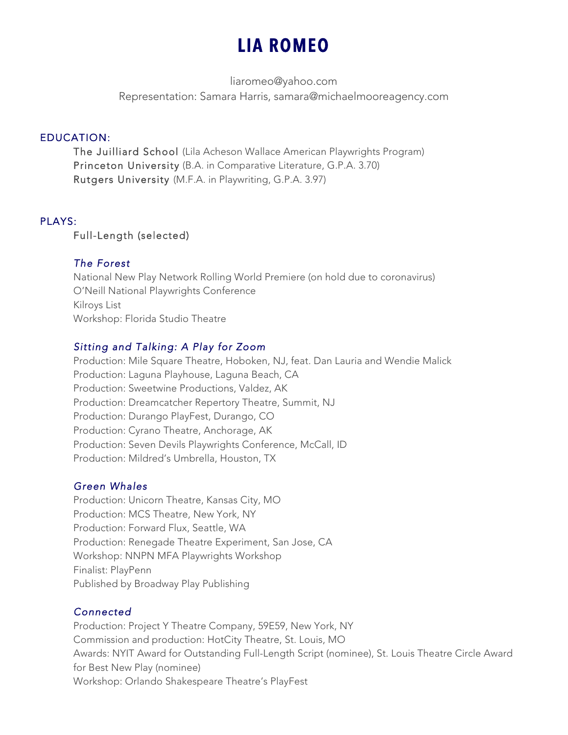# **LIA ROMEO**

liaromeo@yahoo.com

Representation: Samara Harris, samara@michaelmooreagency.com

# EDUCATION:

The Juilliard School (Lila Acheson Wallace American Playwrights Program) Princeton University (B.A. in Comparative Literature, G.P.A. 3.70) Rutgers University (M.F.A. in Playwriting, G.P.A. 3.97)

## PLAYS:

## Full-Length (selected)

## *The Forest*

National New Play Network Rolling World Premiere (on hold due to coronavirus) O'Neill National Playwrights Conference Kilroys List Workshop: Florida Studio Theatre

# *Sitting and Talking: A Play for Zoom*

Production: Mile Square Theatre, Hoboken, NJ, feat. Dan Lauria and Wendie Malick Production: Laguna Playhouse, Laguna Beach, CA Production: Sweetwine Productions, Valdez, AK Production: Dreamcatcher Repertory Theatre, Summit, NJ Production: Durango PlayFest, Durango, CO Production: Cyrano Theatre, Anchorage, AK Production: Seven Devils Playwrights Conference, McCall, ID Production: Mildred's Umbrella, Houston, TX

# *Green Whales*

Production: Unicorn Theatre, Kansas City, MO Production: MCS Theatre, New York, NY Production: Forward Flux, Seattle, WA Production: Renegade Theatre Experiment, San Jose, CA Workshop: NNPN MFA Playwrights Workshop Finalist: PlayPenn Published by Broadway Play Publishing

# *Connected*

Production: Project Y Theatre Company, 59E59, New York, NY Commission and production: HotCity Theatre, St. Louis, MO Awards: NYIT Award for Outstanding Full-Length Script (nominee), St. Louis Theatre Circle Award for Best New Play (nominee) Workshop: Orlando Shakespeare Theatre's PlayFest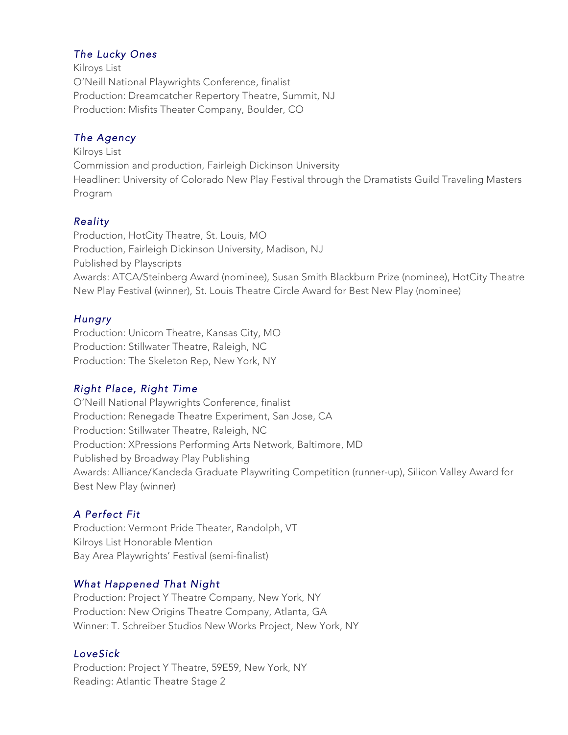## *The Lucky Ones*

Kilroys List O'Neill National Playwrights Conference, finalist Production: Dreamcatcher Repertory Theatre, Summit, NJ Production: Misfits Theater Company, Boulder, CO

## *The Agency*

Kilroys List Commission and production, Fairleigh Dickinson University Headliner: University of Colorado New Play Festival through the Dramatists Guild Traveling Masters Program

## *Reality*

Production, HotCity Theatre, St. Louis, MO Production, Fairleigh Dickinson University, Madison, NJ Published by Playscripts Awards: ATCA/Steinberg Award (nominee), Susan Smith Blackburn Prize (nominee), HotCity Theatre New Play Festival (winner), St. Louis Theatre Circle Award for Best New Play (nominee)

## *Hungry*

Production: Unicorn Theatre, Kansas City, MO Production: Stillwater Theatre, Raleigh, NC Production: The Skeleton Rep, New York, NY

# *Right Place, Right Time*

O'Neill National Playwrights Conference, finalist Production: Renegade Theatre Experiment, San Jose, CA Production: Stillwater Theatre, Raleigh, NC Production: XPressions Performing Arts Network, Baltimore, MD Published by Broadway Play Publishing Awards: Alliance/Kandeda Graduate Playwriting Competition (runner-up), Silicon Valley Award for Best New Play (winner)

# *A Perfect Fit*

Production: Vermont Pride Theater, Randolph, VT Kilroys List Honorable Mention Bay Area Playwrights' Festival (semi-finalist)

# *What Happened That Night*

Production: Project Y Theatre Company, New York, NY Production: New Origins Theatre Company, Atlanta, GA Winner: T. Schreiber Studios New Works Project, New York, NY

# *LoveSick*

Production: Project Y Theatre, 59E59, New York, NY Reading: Atlantic Theatre Stage 2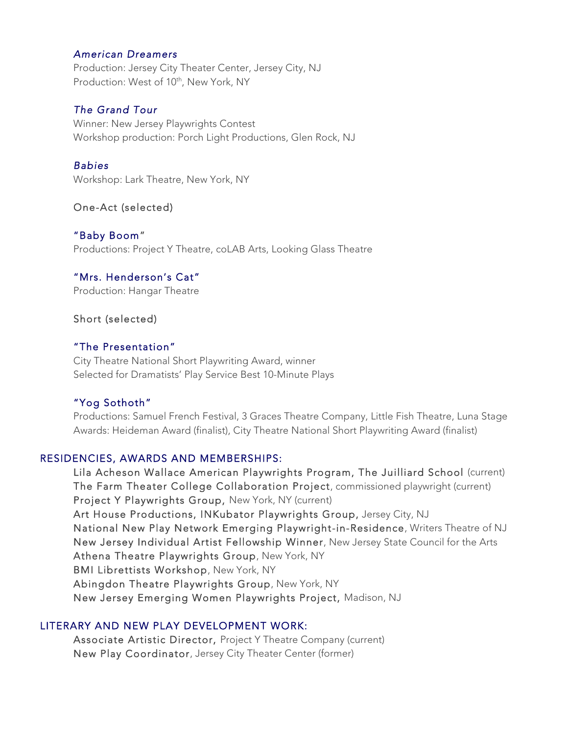#### *American Dreamers*

Production: Jersey City Theater Center, Jersey City, NJ Production: West of 10<sup>th</sup>, New York, NY

#### *The Grand Tour*

Winner: New Jersey Playwrights Contest Workshop production: Porch Light Productions, Glen Rock, NJ

#### *Babies*

Workshop: Lark Theatre, New York, NY

### One-Act (selected)

"Baby Boom" Productions: Project Y Theatre, coLAB Arts, Looking Glass Theatre

### "Mrs. Henderson's Cat"

Production: Hangar Theatre

Short (selected)

### "The Presentation"

 City Theatre National Short Playwriting Award, winner Selected for Dramatists' Play Service Best 10-Minute Plays

### "Yog Sothoth"

Productions: Samuel French Festival, 3 Graces Theatre Company, Little Fish Theatre, Luna Stage Awards: Heideman Award (finalist), City Theatre National Short Playwriting Award (finalist)

#### RESIDENCIES, AWARDS AND MEMBERSHIPS:

Lila Acheson Wallace American Playwrights Program, The Juilliard School (current) The Farm Theater College Collaboration Project, commissioned playwright (current) Project Y Playwrights Group, New York, NY (current) Art House Productions, INKubator Playwrights Group, Jersey City, NJ National New Play Network Emerging Playwright-in-Residence, Writers Theatre of NJ New Jersey Individual Artist Fellowship Winner, New Jersey State Council for the Arts Athena Theatre Playwrights Group, New York, NY BMI Librettists Workshop, New York, NY Abingdon Theatre Playwrights Group, New York, NY New Jersey Emerging Women Playwrights Project, Madison, NJ

#### LITERARY AND NEW PLAY DEVELOPMENT WORK:

 Associate Artistic Director, Project Y Theatre Company (current) New Play Coordinator, Jersey City Theater Center (former)